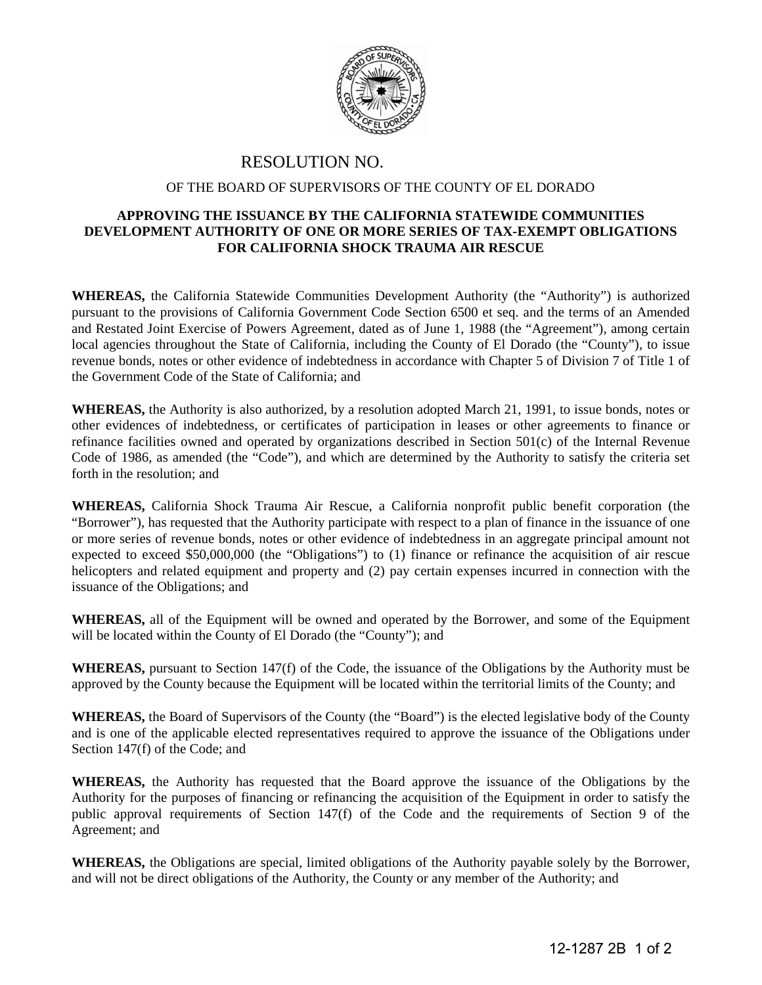

## RESOLUTION NO.

## OF THE BOARD OF SUPERVISORS OF THE COUNTY OF EL DORADO

## **APPROVING THE ISSUANCE BY THE CALIFORNIA STATEWIDE COMMUNITIES DEVELOPMENT AUTHORITY OF ONE OR MORE SERIES OF TAX-EXEMPT OBLIGATIONS FOR CALIFORNIA SHOCK TRAUMA AIR RESCUE**

**WHEREAS,** the California Statewide Communities Development Authority (the "Authority") is authorized pursuant to the provisions of California Government Code Section 6500 et seq. and the terms of an Amended and Restated Joint Exercise of Powers Agreement, dated as of June 1, 1988 (the "Agreement"), among certain local agencies throughout the State of California, including the County of El Dorado (the "County"), to issue revenue bonds, notes or other evidence of indebtedness in accordance with Chapter 5 of Division 7 of Title 1 of the Government Code of the State of California; and

**WHEREAS,** the Authority is also authorized, by a resolution adopted March 21, 1991, to issue bonds, notes or other evidences of indebtedness, or certificates of participation in leases or other agreements to finance or refinance facilities owned and operated by organizations described in Section 501(c) of the Internal Revenue Code of 1986, as amended (the "Code"), and which are determined by the Authority to satisfy the criteria set forth in the resolution; and

**WHEREAS,** California Shock Trauma Air Rescue, a California nonprofit public benefit corporation (the "Borrower"), has requested that the Authority participate with respect to a plan of finance in the issuance of one or more series of revenue bonds, notes or other evidence of indebtedness in an aggregate principal amount not expected to exceed \$50,000,000 (the "Obligations") to (1) finance or refinance the acquisition of air rescue helicopters and related equipment and property and (2) pay certain expenses incurred in connection with the issuance of the Obligations; and

**WHEREAS,** all of the Equipment will be owned and operated by the Borrower, and some of the Equipment will be located within the County of El Dorado (the "County"); and

**WHEREAS,** pursuant to Section 147(f) of the Code, the issuance of the Obligations by the Authority must be approved by the County because the Equipment will be located within the territorial limits of the County; and

**WHEREAS,** the Board of Supervisors of the County (the "Board") is the elected legislative body of the County and is one of the applicable elected representatives required to approve the issuance of the Obligations under Section 147(f) of the Code; and

**WHEREAS,** the Authority has requested that the Board approve the issuance of the Obligations by the Authority for the purposes of financing or refinancing the acquisition of the Equipment in order to satisfy the public approval requirements of Section 147(f) of the Code and the requirements of Section 9 of the Agreement; and

**WHEREAS,** the Obligations are special, limited obligations of the Authority payable solely by the Borrower, and will not be direct obligations of the Authority, the County or any member of the Authority; and